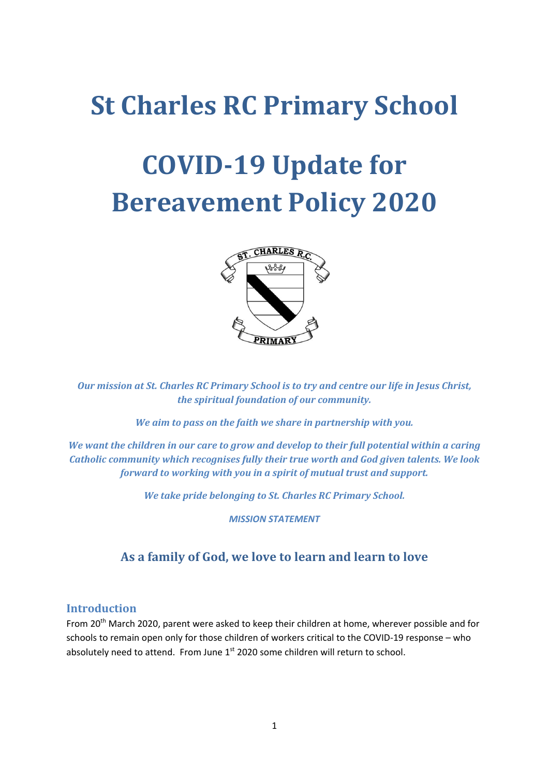## **St Charles RC Primary School**

# **COVID-19 Update for Bereavement Policy 2020**



*Our mission at St. Charles RC Primary School is to try and centre our life in Jesus Christ, the spiritual foundation of our community.*

*We aim to pass on the faith we share in partnership with you.*

*We want the children in our care to grow and develop to their full potential within a caring Catholic community which recognises fully their true worth and God given talents. We look forward to working with you in a spirit of mutual trust and support.*

*We take pride belonging to St. Charles RC Primary School.*

*MISSION STATEMENT*

## **As a family of God, we love to learn and learn to love**

#### **Introduction**

From 20<sup>th</sup> March 2020, parent were asked to keep their children at home, wherever possible and for schools to remain open only for those children of workers critical to the COVID-19 response – who absolutely need to attend. From June 1<sup>st</sup> 2020 some children will return to school.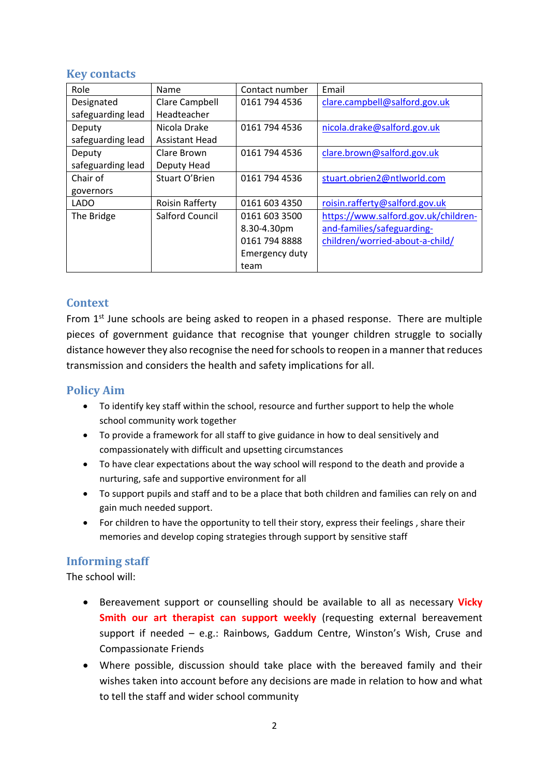## **Key contacts**

| Role              | Name                   | Contact number | Email                                |
|-------------------|------------------------|----------------|--------------------------------------|
| Designated        | Clare Campbell         | 0161 794 4536  | clare.campbell@salford.gov.uk        |
| safeguarding lead | Headteacher            |                |                                      |
| Deputy            | Nicola Drake           | 0161 794 4536  | nicola.drake@salford.gov.uk          |
| safeguarding lead | <b>Assistant Head</b>  |                |                                      |
| Deputy            | Clare Brown            | 0161 794 4536  | clare.brown@salford.gov.uk           |
| safeguarding lead | Deputy Head            |                |                                      |
| Chair of          | Stuart O'Brien         | 0161 794 4536  | stuart.obrien2@ntlworld.com          |
| governors         |                        |                |                                      |
| <b>LADO</b>       | <b>Roisin Rafferty</b> | 0161 603 4350  | roisin.rafferty@salford.gov.uk       |
| The Bridge        | <b>Salford Council</b> | 0161 603 3500  | https://www.salford.gov.uk/children- |
|                   |                        | 8.30-4.30pm    | and-families/safeguarding-           |
|                   |                        | 0161 794 8888  | children/worried-about-a-child/      |
|                   |                        | Emergency duty |                                      |
|                   |                        | team           |                                      |

## **Context**

From  $1<sup>st</sup>$  June schools are being asked to reopen in a phased response. There are multiple pieces of government guidance that recognise that younger children struggle to socially distance however they also recognise the need for schools to reopen in a manner that reduces transmission and considers the health and safety implications for all.

## **Policy Aim**

- To identify key staff within the school, resource and further support to help the whole school community work together
- To provide a framework for all staff to give guidance in how to deal sensitively and compassionately with difficult and upsetting circumstances
- To have clear expectations about the way school will respond to the death and provide a nurturing, safe and supportive environment for all
- To support pupils and staff and to be a place that both children and families can rely on and gain much needed support.
- For children to have the opportunity to tell their story, express their feelings , share their memories and develop coping strategies through support by sensitive staff

## **Informing staff**

- Bereavement support or counselling should be available to all as necessary **Vicky Smith our art therapist can support weekly** (requesting external bereavement support if needed – e.g.: Rainbows, Gaddum Centre, Winston's Wish, Cruse and Compassionate Friends
- Where possible, discussion should take place with the bereaved family and their wishes taken into account before any decisions are made in relation to how and what to tell the staff and wider school community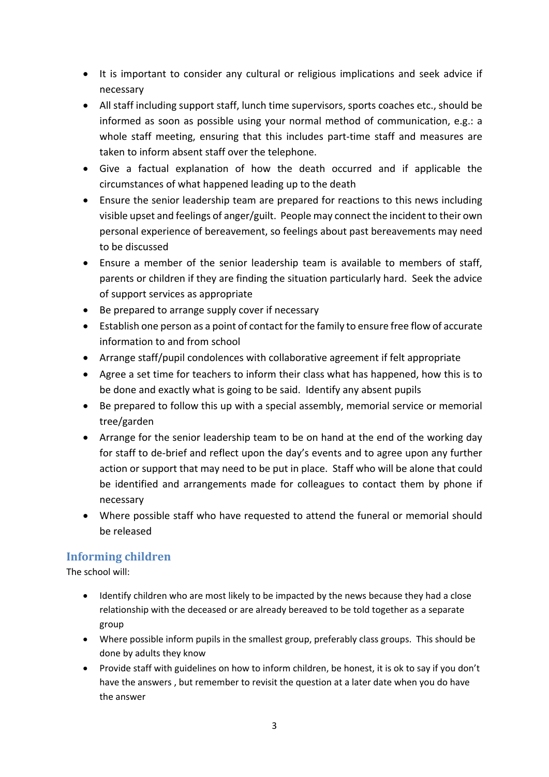- It is important to consider any cultural or religious implications and seek advice if necessary
- All staff including support staff, lunch time supervisors, sports coaches etc., should be informed as soon as possible using your normal method of communication, e.g.: a whole staff meeting, ensuring that this includes part-time staff and measures are taken to inform absent staff over the telephone.
- Give a factual explanation of how the death occurred and if applicable the circumstances of what happened leading up to the death
- Ensure the senior leadership team are prepared for reactions to this news including visible upset and feelings of anger/guilt. People may connect the incident to their own personal experience of bereavement, so feelings about past bereavements may need to be discussed
- Ensure a member of the senior leadership team is available to members of staff, parents or children if they are finding the situation particularly hard. Seek the advice of support services as appropriate
- Be prepared to arrange supply cover if necessary
- Establish one person as a point of contact for the family to ensure free flow of accurate information to and from school
- Arrange staff/pupil condolences with collaborative agreement if felt appropriate
- Agree a set time for teachers to inform their class what has happened, how this is to be done and exactly what is going to be said. Identify any absent pupils
- Be prepared to follow this up with a special assembly, memorial service or memorial tree/garden
- Arrange for the senior leadership team to be on hand at the end of the working day for staff to de-brief and reflect upon the day's events and to agree upon any further action or support that may need to be put in place. Staff who will be alone that could be identified and arrangements made for colleagues to contact them by phone if necessary
- Where possible staff who have requested to attend the funeral or memorial should be released

## **Informing children**

- Identify children who are most likely to be impacted by the news because they had a close relationship with the deceased or are already bereaved to be told together as a separate group
- Where possible inform pupils in the smallest group, preferably class groups. This should be done by adults they know
- Provide staff with guidelines on how to inform children, be honest, it is ok to say if you don't have the answers , but remember to revisit the question at a later date when you do have the answer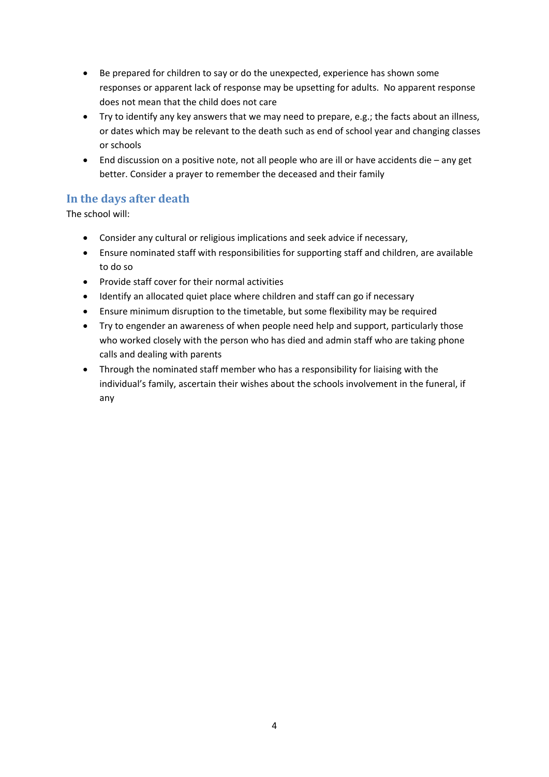- Be prepared for children to say or do the unexpected, experience has shown some responses or apparent lack of response may be upsetting for adults. No apparent response does not mean that the child does not care
- Try to identify any key answers that we may need to prepare, e.g.; the facts about an illness, or dates which may be relevant to the death such as end of school year and changing classes or schools
- End discussion on a positive note, not all people who are ill or have accidents die any get better. Consider a prayer to remember the deceased and their family

## **In the days after death**

- Consider any cultural or religious implications and seek advice if necessary,
- Ensure nominated staff with responsibilities for supporting staff and children, are available to do so
- Provide staff cover for their normal activities
- Identify an allocated quiet place where children and staff can go if necessary
- Ensure minimum disruption to the timetable, but some flexibility may be required
- Try to engender an awareness of when people need help and support, particularly those who worked closely with the person who has died and admin staff who are taking phone calls and dealing with parents
- Through the nominated staff member who has a responsibility for liaising with the individual's family, ascertain their wishes about the schools involvement in the funeral, if any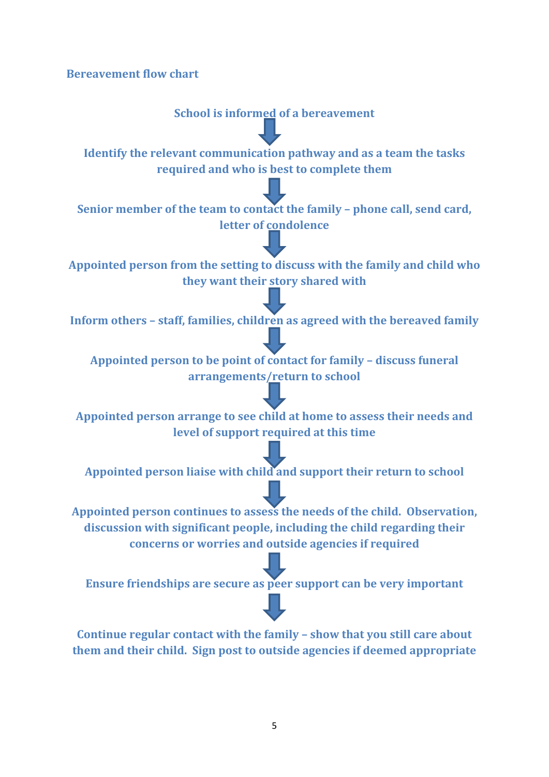**Bereavement flow chart**

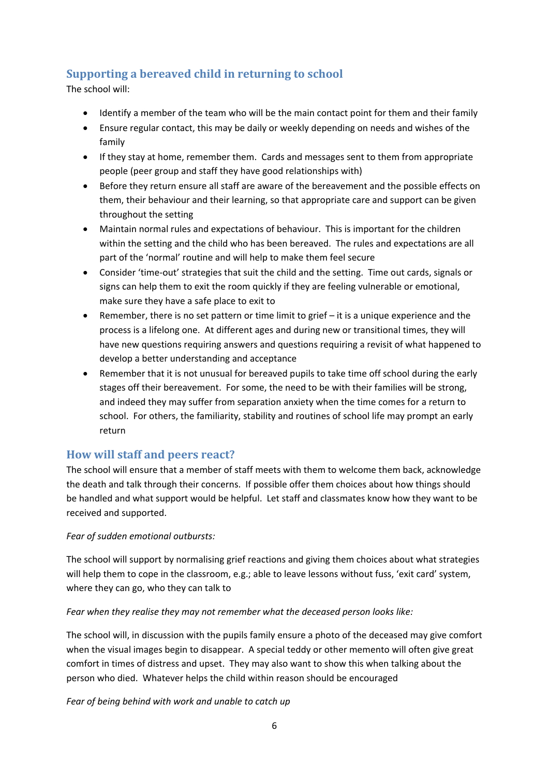## **Supporting a bereaved child in returning to school**

The school will:

- Identify a member of the team who will be the main contact point for them and their family
- Ensure regular contact, this may be daily or weekly depending on needs and wishes of the family
- If they stay at home, remember them. Cards and messages sent to them from appropriate people (peer group and staff they have good relationships with)
- Before they return ensure all staff are aware of the bereavement and the possible effects on them, their behaviour and their learning, so that appropriate care and support can be given throughout the setting
- Maintain normal rules and expectations of behaviour. This is important for the children within the setting and the child who has been bereaved. The rules and expectations are all part of the 'normal' routine and will help to make them feel secure
- Consider 'time-out' strategies that suit the child and the setting. Time out cards, signals or signs can help them to exit the room quickly if they are feeling vulnerable or emotional, make sure they have a safe place to exit to
- Remember, there is no set pattern or time limit to grief it is a unique experience and the process is a lifelong one. At different ages and during new or transitional times, they will have new questions requiring answers and questions requiring a revisit of what happened to develop a better understanding and acceptance
- Remember that it is not unusual for bereaved pupils to take time off school during the early stages off their bereavement. For some, the need to be with their families will be strong, and indeed they may suffer from separation anxiety when the time comes for a return to school. For others, the familiarity, stability and routines of school life may prompt an early return

## **How will staff and peers react?**

The school will ensure that a member of staff meets with them to welcome them back, acknowledge the death and talk through their concerns. If possible offer them choices about how things should be handled and what support would be helpful. Let staff and classmates know how they want to be received and supported.

#### *Fear of sudden emotional outbursts:*

The school will support by normalising grief reactions and giving them choices about what strategies will help them to cope in the classroom, e.g.; able to leave lessons without fuss, 'exit card' system, where they can go, who they can talk to

#### *Fear when they realise they may not remember what the deceased person looks like:*

The school will, in discussion with the pupils family ensure a photo of the deceased may give comfort when the visual images begin to disappear. A special teddy or other memento will often give great comfort in times of distress and upset. They may also want to show this when talking about the person who died. Whatever helps the child within reason should be encouraged

*Fear of being behind with work and unable to catch up*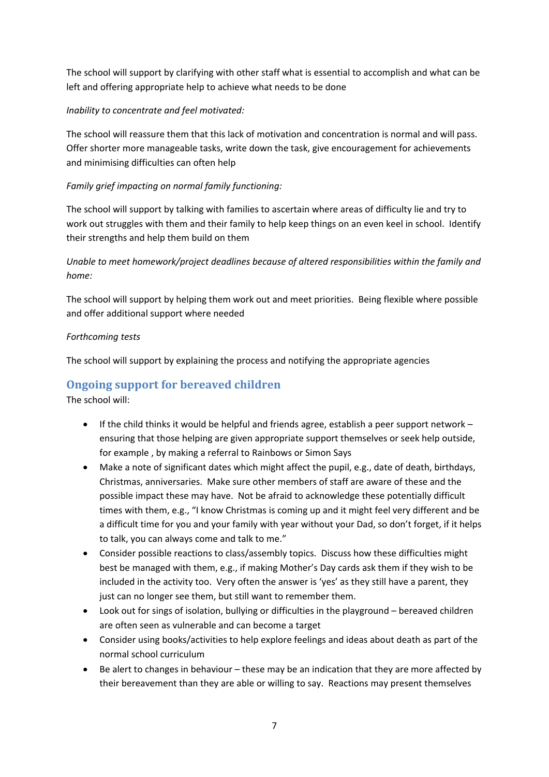The school will support by clarifying with other staff what is essential to accomplish and what can be left and offering appropriate help to achieve what needs to be done

#### *Inability to concentrate and feel motivated:*

The school will reassure them that this lack of motivation and concentration is normal and will pass. Offer shorter more manageable tasks, write down the task, give encouragement for achievements and minimising difficulties can often help

#### *Family grief impacting on normal family functioning:*

The school will support by talking with families to ascertain where areas of difficulty lie and try to work out struggles with them and their family to help keep things on an even keel in school. Identify their strengths and help them build on them

*Unable to meet homework/project deadlines because of altered responsibilities within the family and home:* 

The school will support by helping them work out and meet priorities. Being flexible where possible and offer additional support where needed

#### *Forthcoming tests*

The school will support by explaining the process and notifying the appropriate agencies

## **Ongoing support for bereaved children**

- If the child thinks it would be helpful and friends agree, establish a peer support network ensuring that those helping are given appropriate support themselves or seek help outside, for example , by making a referral to Rainbows or Simon Says
- Make a note of significant dates which might affect the pupil, e.g., date of death, birthdays, Christmas, anniversaries. Make sure other members of staff are aware of these and the possible impact these may have. Not be afraid to acknowledge these potentially difficult times with them, e.g., "I know Christmas is coming up and it might feel very different and be a difficult time for you and your family with year without your Dad, so don't forget, if it helps to talk, you can always come and talk to me."
- Consider possible reactions to class/assembly topics. Discuss how these difficulties might best be managed with them, e.g., if making Mother's Day cards ask them if they wish to be included in the activity too. Very often the answer is 'yes' as they still have a parent, they just can no longer see them, but still want to remember them.
- Look out for sings of isolation, bullying or difficulties in the playground bereaved children are often seen as vulnerable and can become a target
- Consider using books/activities to help explore feelings and ideas about death as part of the normal school curriculum
- Be alert to changes in behaviour these may be an indication that they are more affected by their bereavement than they are able or willing to say. Reactions may present themselves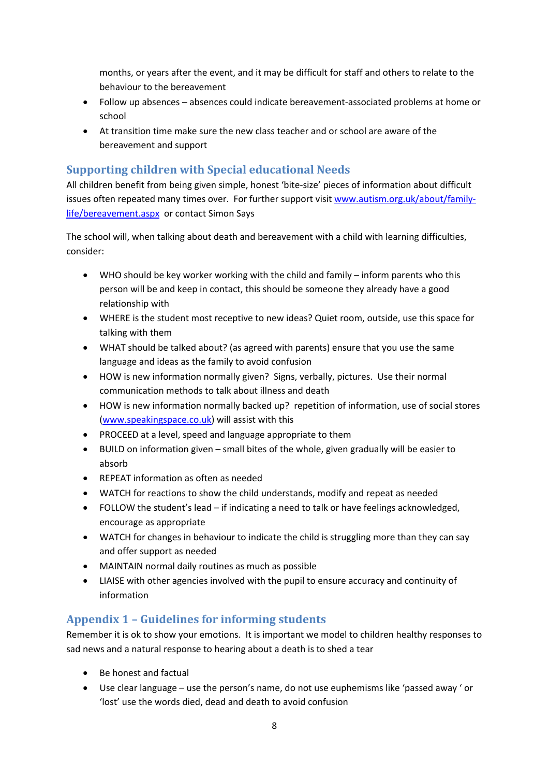months, or years after the event, and it may be difficult for staff and others to relate to the behaviour to the bereavement

- Follow up absences absences could indicate bereavement-associated problems at home or school
- At transition time make sure the new class teacher and or school are aware of the bereavement and support

## **Supporting children with Special educational Needs**

All children benefit from being given simple, honest 'bite-size' pieces of information about difficult issues often repeated many times over. For further support visi[t www.autism.org.uk/about/family](http://www.autism.org.uk/about/family-life/bereavement.aspx)[life/bereavement.aspx](http://www.autism.org.uk/about/family-life/bereavement.aspx) or contact Simon Says

The school will, when talking about death and bereavement with a child with learning difficulties, consider:

- WHO should be key worker working with the child and family inform parents who this person will be and keep in contact, this should be someone they already have a good relationship with
- WHERE is the student most receptive to new ideas? Quiet room, outside, use this space for talking with them
- WHAT should be talked about? (as agreed with parents) ensure that you use the same language and ideas as the family to avoid confusion
- HOW is new information normally given? Signs, verbally, pictures. Use their normal communication methods to talk about illness and death
- HOW is new information normally backed up? repetition of information, use of social stores [\(www.speakingspace.co.uk\)](http://www.speakingspace.co.uk/) will assist with this
- PROCEED at a level, speed and language appropriate to them
- BUILD on information given small bites of the whole, given gradually will be easier to absorb
- REPEAT information as often as needed
- WATCH for reactions to show the child understands, modify and repeat as needed
- FOLLOW the student's lead if indicating a need to talk or have feelings acknowledged, encourage as appropriate
- WATCH for changes in behaviour to indicate the child is struggling more than they can say and offer support as needed
- MAINTAIN normal daily routines as much as possible
- LIAISE with other agencies involved with the pupil to ensure accuracy and continuity of information

## **Appendix 1 – Guidelines for informing students**

Remember it is ok to show your emotions. It is important we model to children healthy responses to sad news and a natural response to hearing about a death is to shed a tear

- Be honest and factual
- Use clear language use the person's name, do not use euphemisms like 'passed away ' or 'lost' use the words died, dead and death to avoid confusion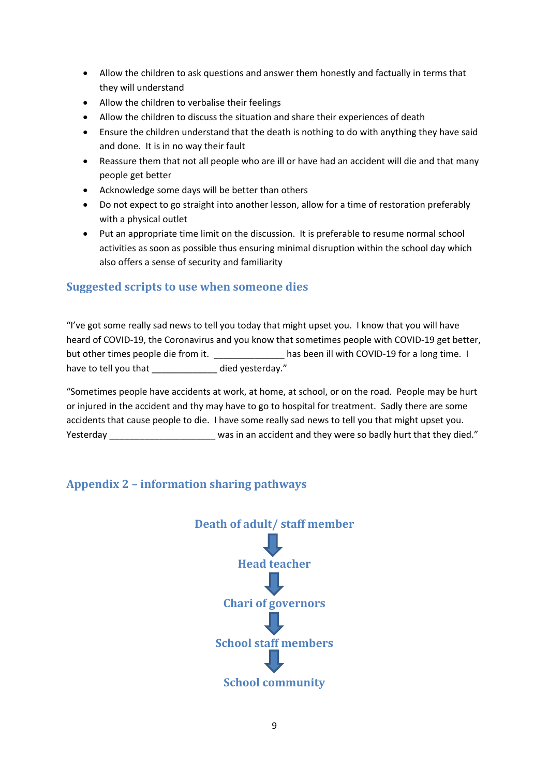- Allow the children to ask questions and answer them honestly and factually in terms that they will understand
- Allow the children to verbalise their feelings
- Allow the children to discuss the situation and share their experiences of death
- Ensure the children understand that the death is nothing to do with anything they have said and done. It is in no way their fault
- Reassure them that not all people who are ill or have had an accident will die and that many people get better
- Acknowledge some days will be better than others
- Do not expect to go straight into another lesson, allow for a time of restoration preferably with a physical outlet
- Put an appropriate time limit on the discussion. It is preferable to resume normal school activities as soon as possible thus ensuring minimal disruption within the school day which also offers a sense of security and familiarity

## **Suggested scripts to use when someone dies**

"I've got some really sad news to tell you today that might upset you. I know that you will have heard of COVID-19, the Coronavirus and you know that sometimes people with COVID-19 get better, but other times people die from it. This been ill with COVID-19 for a long time. I have to tell you that \_\_\_\_\_\_\_\_\_\_\_\_\_ died yesterday."

"Sometimes people have accidents at work, at home, at school, or on the road. People may be hurt or injured in the accident and thy may have to go to hospital for treatment. Sadly there are some accidents that cause people to die. I have some really sad news to tell you that might upset you. Yesterday \_\_\_\_\_\_\_\_\_\_\_\_\_\_\_\_\_\_\_\_\_\_\_ was in an accident and they were so badly hurt that they died."

## **Appendix 2 – information sharing pathways**

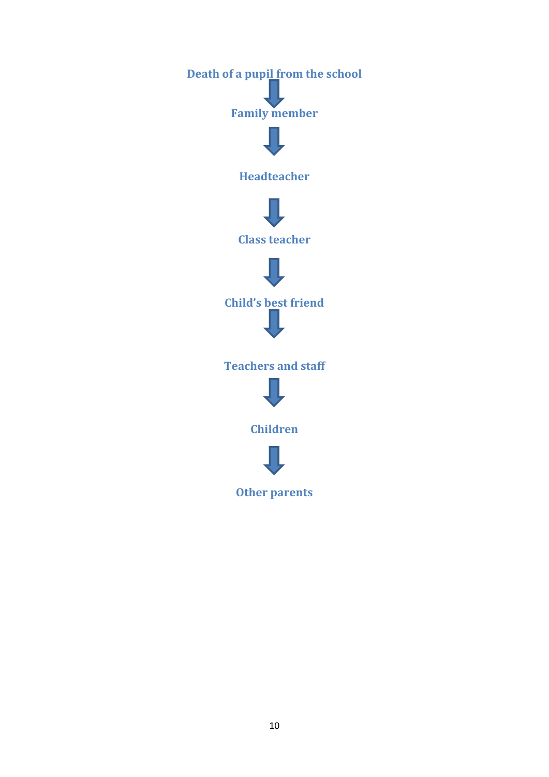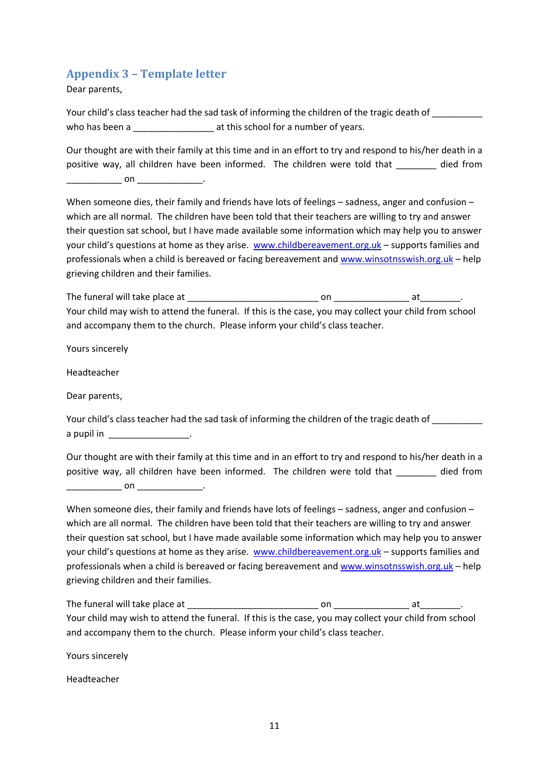## **Appendix 3 – Template letter**

Dear parents,

Your child's class teacher had the sad task of informing the children of the tragic death of who has been a \_\_\_\_\_\_\_\_\_\_\_\_\_\_\_\_\_\_\_\_\_ at this school for a number of years.

Our thought are with their family at this time and in an effort to try and respond to his/her death in a positive way, all children have been informed. The children were told that died from \_\_\_\_\_\_\_\_\_\_\_ on \_\_\_\_\_\_\_\_\_\_\_\_\_.

When someone dies, their family and friends have lots of feelings – sadness, anger and confusion – which are all normal. The children have been told that their teachers are willing to try and answer their question sat school, but I have made available some information which may help you to answer your child's questions at home as they arise. [www.childbereavement.org.uk](http://www.childbereavement.org.uk/) - supports families and professionals when a child is bereaved or facing bereavement and [www.winsotnsswish.org.uk](http://www.winsotnsswish.org.uk/) – help grieving children and their families.

The funeral will take place at \_\_\_\_\_\_\_\_\_\_\_\_\_\_\_\_\_\_\_\_\_\_\_\_\_\_ on \_\_\_\_\_\_\_\_\_\_\_\_\_\_\_ at\_\_\_\_\_\_\_\_. Your child may wish to attend the funeral. If this is the case, you may collect your child from school and accompany them to the church. Please inform your child's class teacher.

Yours sincerely

Headteacher

Dear parents,

Your child's class teacher had the sad task of informing the children of the tragic death of a pupil in \_\_\_\_\_\_\_\_\_\_\_\_\_\_\_\_\_\_\_.

Our thought are with their family at this time and in an effort to try and respond to his/her death in a positive way, all children have been informed. The children were told that \_\_\_\_\_\_\_\_ died from

\_\_\_\_\_\_\_\_\_\_\_\_\_ on \_\_\_\_\_\_\_\_\_\_\_\_\_\_\_\_\_\_\_\_\_ .

When someone dies, their family and friends have lots of feelings – sadness, anger and confusion – which are all normal. The children have been told that their teachers are willing to try and answer their question sat school, but I have made available some information which may help you to answer your child's questions at home as they arise. [www.childbereavement.org.uk](http://www.childbereavement.org.uk/) – supports families and professionals when a child is bereaved or facing bereavement and [www.winsotnsswish.org.uk](http://www.winsotnsswish.org.uk/) – help grieving children and their families.

The funeral will take place at \_\_\_\_\_\_\_\_\_\_\_\_\_\_\_\_\_\_\_\_\_\_\_\_\_\_ on \_\_\_\_\_\_\_\_\_\_\_\_\_\_\_ at\_\_\_\_\_\_\_\_. Your child may wish to attend the funeral. If this is the case, you may collect your child from school and accompany them to the church. Please inform your child's class teacher.

Yours sincerely

Headteacher